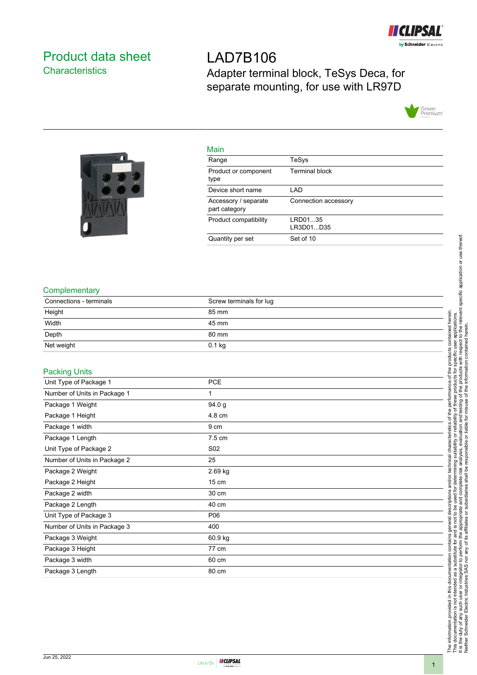

# <span id="page-0-0"></span>Product data sheet **Characteristics**

# LAD7B106 Adapter terminal block, TeSys Deca, for separate mounting, for use with LR97D





| Main                                  |                       |
|---------------------------------------|-----------------------|
| Range                                 | TeSys                 |
| Product or component<br>type          | <b>Terminal block</b> |
| Device short name                     | LAD                   |
| Accessory / separate<br>part category | Connection accessory  |
| Product compatibility                 | LRD0135<br>LR3D01D35  |
| Quantity per set                      | Set of 10             |

### **Complementary**

| Connections - terminals | Screw terminals for lug |
|-------------------------|-------------------------|
| Height                  | 85 mm                   |
| Width                   | 45 mm                   |
| Depth                   | 80 mm                   |
| Net weight              | $0.1$ kg                |

#### Packing Units

| <b>PCE</b>      |
|-----------------|
| 1               |
| 94.0 g          |
| 4.8 cm          |
| 9 cm            |
| 7.5 cm          |
| S <sub>02</sub> |
| 25              |
| 2.69 kg         |
| 15 cm           |
| 30 cm           |
| 40 cm           |
| P06             |
| 400             |
| 60.9 kg         |
| 77 cm           |
| 60 cm           |
| 80 cm           |
|                 |